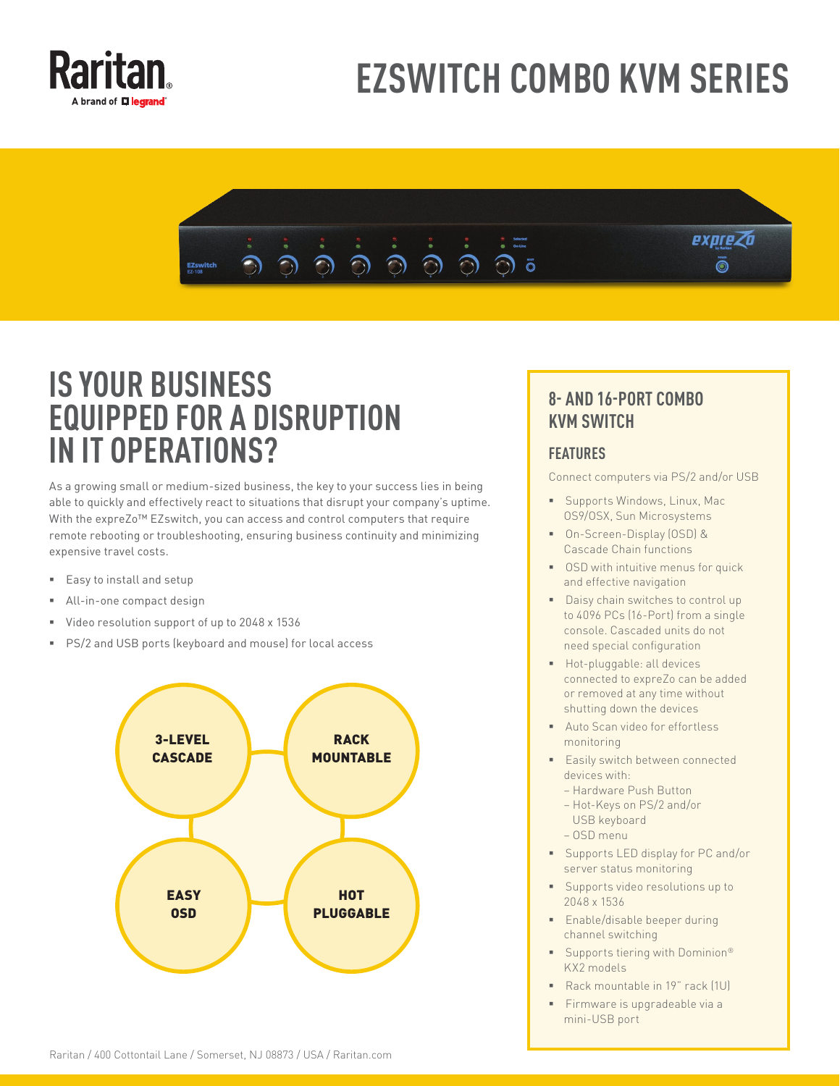

# **EZSWITCH COMBO KVM SERIES**



## **IS YOUR BUSINESS EQUIPPED FOR A DISRUPTION IN IT OPERATIONS?**

As a growing small or medium-sized business, the key to your success lies in being able to quickly and effectively react to situations that disrupt your company's uptime. With the expreZo™ EZswitch, you can access and control computers that require remote rebooting or troubleshooting, ensuring business continuity and minimizing expensive travel costs.

- Easy to install and setup
- All-in-one compact design
- Video resolution support of up to 2048 x 1536
- PS/2 and USB ports (keyboard and mouse) for local access



### **8- AND 16-PORT COMBO KVM SWITCH**

#### **FEATURES**

Connect computers via PS/2 and/or USB

- **Supports Windows, Linux, Mac** OS9/OSX, Sun Microsystems
- On-Screen-Display (OSD) & Cascade Chain functions
- **OSD** with intuitive menus for quick and effective navigation
- Daisy chain switches to control up to 4096 PCs (16-Port) from a single console. Cascaded units do not need special configuration
- **Hot-pluggable: all devices** connected to expreZo can be added or removed at any time without shutting down the devices
- **Auto Scan video for effortless** monitoring
- **Easily switch between connected** devices with:
	- Hardware Push Button
	- Hot-Keys on PS/2 and/or USB keyboard
	- OSD menu
- **Supports LED display for PC and/or** server status monitoring
- **Supports video resolutions up to** 2048 x 1536
- **Enable/disable beeper during** channel switching
- Supports tiering with Dominion<sup>®</sup> KX2 models
- Rack mountable in 19" rack (1U)
- Firmware is upgradeable via a mini-USB port